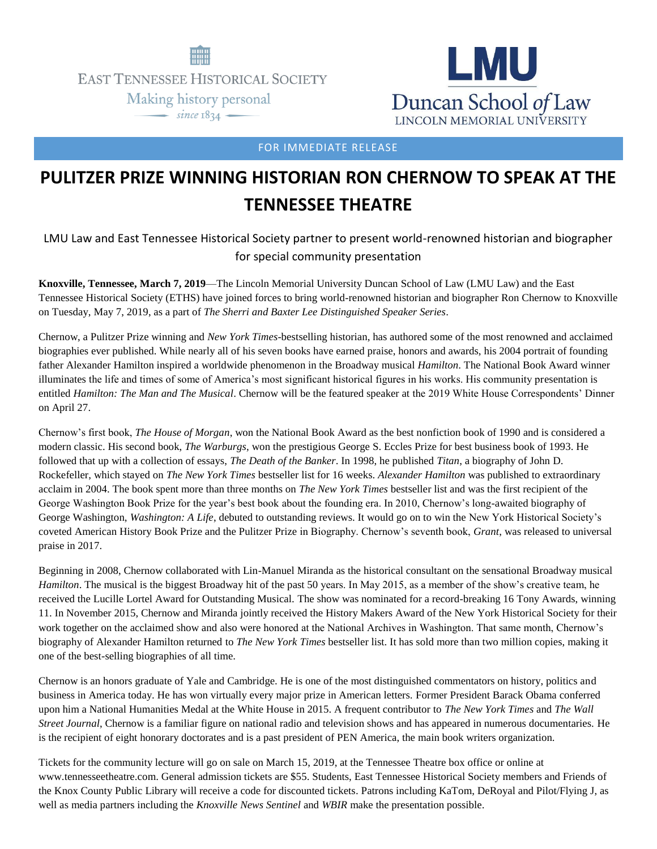

**EAST TENNESSEE HISTORICAL SOCIETY** Making history personal

 $\frac{1}{\text{since } 1834}$ 



FOR IMMEDIATE RELEASE

## **PULITZER PRIZE WINNING HISTORIAN RON CHERNOW TO SPEAK AT THE TENNESSEE THEATRE**

LMU Law and East Tennessee Historical Society partner to present world-renowned historian and biographer for special community presentation

**Knoxville, Tennessee, March 7, 2019**—The Lincoln Memorial University Duncan School of Law (LMU Law) and the East Tennessee Historical Society (ETHS) have joined forces to bring world-renowned historian and biographer Ron Chernow to Knoxville on Tuesday, May 7, 2019, as a part of *The Sherri and Baxter Lee Distinguished Speaker Series*.

Chernow, a Pulitzer Prize winning and *New York Times*-bestselling historian, has authored some of the most renowned and acclaimed biographies ever published. While nearly all of his seven books have earned praise, honors and awards, his 2004 portrait of founding father Alexander Hamilton inspired a worldwide phenomenon in the Broadway musical *Hamilton*. The National Book Award winner illuminates the life and times of some of America's most significant historical figures in his works. His community presentation is entitled *Hamilton: The Man and The Musical*. Chernow will be the featured speaker at the 2019 White House Correspondents' Dinner on April 27.

Chernow's first book, *The House of Morgan*, won the National Book Award as the best nonfiction book of 1990 and is considered a modern classic. His second book, *The Warburgs*, won the prestigious George S. Eccles Prize for best business book of 1993. He followed that up with a collection of essays, *The Death of the Banker*. In 1998, he published *Titan*, a biography of John D. Rockefeller, which stayed on *The New York Times* bestseller list for 16 weeks. *Alexander Hamilton* was published to extraordinary acclaim in 2004. The book spent more than three months on *The New York Times* bestseller list and was the first recipient of the George Washington Book Prize for the year's best book about the founding era. In 2010, Chernow's long-awaited biography of George Washington, *Washington: A Life*, debuted to outstanding reviews. It would go on to win the New York Historical Society's coveted American History Book Prize and the Pulitzer Prize in Biography. Chernow's seventh book, *Grant*, was released to universal praise in 2017.

Beginning in 2008, Chernow collaborated with Lin-Manuel Miranda as the historical consultant on the sensational Broadway musical *Hamilton*. The musical is the biggest Broadway hit of the past 50 years. In May 2015, as a member of the show's creative team, he received the Lucille Lortel Award for Outstanding Musical. The show was nominated for a record-breaking 16 Tony Awards, winning 11. In November 2015, Chernow and Miranda jointly received the History Makers Award of the New York Historical Society for their work together on the acclaimed show and also were honored at the National Archives in Washington. That same month, Chernow's biography of Alexander Hamilton returned to *The New York Times* bestseller list. It has sold more than two million copies, making it one of the best-selling biographies of all time.

Chernow is an honors graduate of Yale and Cambridge. He is one of the most distinguished commentators on history, politics and business in America today. He has won virtually every major prize in American letters. Former President Barack Obama conferred upon him a National Humanities Medal at the White House in 2015. A frequent contributor to *The New York Times* and *The Wall Street Journal*, Chernow is a familiar figure on national radio and television shows and has appeared in numerous documentaries. He is the recipient of eight honorary doctorates and is a past president of PEN America, the main book writers organization.

Tickets for the community lecture will go on sale on March 15, 2019, at the Tennessee Theatre box office or online at www.tennesseetheatre.com. General admission tickets are \$55. Students, East Tennessee Historical Society members and Friends of the Knox County Public Library will receive a code for discounted tickets. Patrons including KaTom, DeRoyal and Pilot/Flying J, as well as media partners including the *Knoxville News Sentinel* and *WBIR* make the presentation possible.